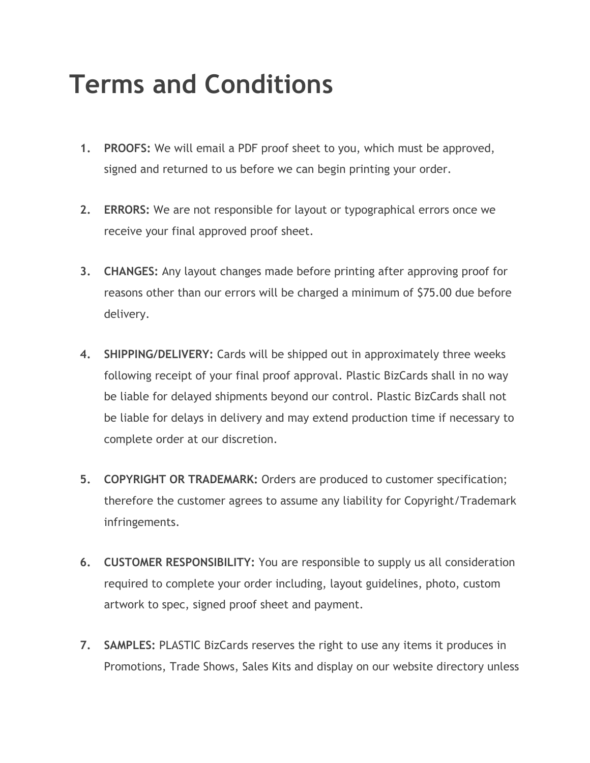## **Terms and Conditions**

- **1. PROOFS:** We will email a PDF proof sheet to you, which must be approved, signed and returned to us before we can begin printing your order.
- **2. ERRORS:** We are not responsible for layout or typographical errors once we receive your final approved proof sheet.
- **3. CHANGES:** Any layout changes made before printing after approving proof for reasons other than our errors will be charged a minimum of \$75.00 due before delivery.
- **4. SHIPPING/DELIVERY:** Cards will be shipped out in approximately three weeks following receipt of your final proof approval. Plastic BizCards shall in no way be liable for delayed shipments beyond our control. Plastic BizCards shall not be liable for delays in delivery and may extend production time if necessary to complete order at our discretion.
- **5. COPYRIGHT OR TRADEMARK:** Orders are produced to customer specification; therefore the customer agrees to assume any liability for Copyright/Trademark infringements.
- **6. CUSTOMER RESPONSIBILITY:** You are responsible to supply us all consideration required to complete your order including, layout guidelines, photo, custom artwork to spec, signed proof sheet and payment.
- **7. SAMPLES:** PLASTIC BizCards reserves the right to use any items it produces in Promotions, Trade Shows, Sales Kits and display on our website directory unless